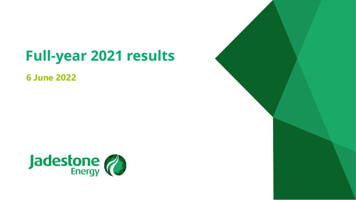# **Full-year 2021 results**

### **6 June 2022**



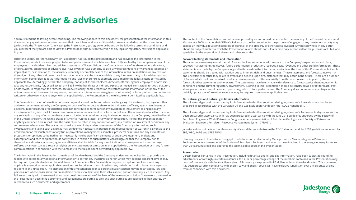### **Disclaimer & advisories**

You must read the following before continuing. The following applies to this document, the presentation of the information in this document any question‐and‐answer session that may follow, and any additional documents handed out at the presentation (collectively, the "Presentation"). In viewing the Presentation, you agree to be bound by the following terms and conditions and you represent that you are able to view this Presentation without contravention of any legal or regulatory restrictions applicable to you.

Jadestone Energy plc (the "Company" or "Jadestone") has issued this presentation and has provided the information in the Presentation, which it does not purport to be comprehensive and which has not been fully verified by the Company, or any of its employees. shareholders, directors, advisers, agents or affiliates. Neither the Company nor any of its shareholders, directors, officers, agents, employees or advisors give, have given or have authority to give, any representations or warranties (express or implied) as to, or in relation to, the accuracy, reliability or completeness of the information in this Presentation, or any revision thereof, or of any other written or oral information made or to be made available to any interested party or its advisers (all such information being referred to as "Information") and liability therefore is expressly disclaimed to the fullest extent permitted by applicable law. Accordingly, neither the Company, nor any of its shareholders, directors, officers, agents, employees or advisers take any responsibility for, or will accept any liability whether direct or indirect, express or implied, contractual, tortious, statutory or otherwise, in respect of, the fairness, accuracy, reliability, completeness or correctness of the Information or for any of the opinions contained herein or for any errors, omissions or misstatements (negligent or otherwise) or for any other communication, written or otherwise, made to anyone in, or supplied with, the Presentation to the fullest extent permitted by applicable law.

This Presentation is for information purposes only and should not be considered as the giving of investment, tax, legal or other advice or recommendation by the Company, or by any of its respective shareholders, directors, officers, agents, employees or advisers. In particular, this Presentation does not constitute or form part of any invitation or inducement to engage in any investment activity nor shall it form a recommendation or inducement to or form part of any offer or invitation to sell or issue, or any solicitation of any offer to purchase or subscribe for any securities or any business or assets of the Company described herein in the United Kingdom, the United States of America ("United States") or any other jurisdiction. Neither this Presentation nor anything contained herein shall form the basis of, or be relied in any connection with, any contract or investment decision or any commitment whatsoever. The reader must make its own independent assessment of the Company after making such investigations and taking such advice as may be deemed necessary. In particular, no representation or warranty is given as to the achievement or reasonableness of any future projections, management estimates, prospects or returns and any estimates or projections or opinions contained herein necessarily involve significant elements of subjective judgment, analysis and assumptions and each recipient should satisfy itself in relation to such matters. Accordingly, neither the Company nor its shareholders, directors, advisers, agents or affiliates shall be liable for any direct, indirect or consequential loss or damage suffered by any person as a result of relying on any statement or omission in, or supplied with, the Presentation or in any future communications in connection with the Company to the fullest extent permitted by applicable law.

The information in the Presentation is made as of the date hereof and the Company undertakes no obligation to provide the reader with access to any additional information or to correct any inaccuracies herein which may become apparent save as may be required by applicable law or the AIM Rules for Companies. This Presentation may not, except in compliance with any applicable exemption under applicable securities law, be taken or transmitted into any jurisdiction or distributed to any person resident in any jurisdiction. The distribution of this Presentation in or to persons in a jurisdiction may be restricted by law and persons into whose possession this Presentation comes should inform themselves about, and observe any such restrictions. Any failure to comply with these restrictions may constitute a violation of the laws of the relevant jurisdiction. Statements contained in the Presentation describing documents and agreements are surmises only and such surmises are qualified in their entirety by reference to such documents and agreements.

The content of the Presentation has not been approved by an authorised person within the meaning of the Financial Services and Markets Act 2000, as amended ("FSMA"). Reliance on the Presentation for the purpose of engaging in any investment activity may expose an individual to a significant risk of losing all of the property or other assets invested. Any person who is in any doubt about the subject matter to which the Presentation relates should consult a person duly authorised for the purposes of FSMA who specialises in the acquisition of shares and other securities

#### **Forward looking statements and information**

This announcement may contain certain forward-looking statements with respect to the Company's expectations and plans, strategy, management's objectives, future performance, production, reserves, costs, revenues and other trend information. These statements are made by the Company in good faith based on the information available at the time of this Presentation, but such statements should be treated with caution due to inherent risks and uncertainties. These statements and forecasts involve risk and uncertainty because they relate to events and depend upon circumstances that may occur in the future. There are a number of factors which could cause actual results or developments to differ materially from those expressed or implied by these forward-looking statements and forecasts. The statements have been made with reference to forecast price changes, economic conditions and the current regulatory environment. Nothing in this Presentation should be construed as a profit forecast. Past share performance cannot be relied upon as a guide to future performance. The Company does not assume any obligation to publicly update the information, except as may be required pursuant to applicable laws.

#### **Oil, natural gas and natural gas liquids information**

The oil, natural gas and natural gas liquids information in this Presentation relating to Jadestone's Australia assets has been prepared in accordance with the Canadian Oil and Gas Evaluation Handbook (the "COGE Handbook").

The oil, natural gas and natural gas liquids information in this Presentation relating to Jadestone's Peninsular Malaysia assets has been prepared in accordance with has been prepared in accordance with the June 2018 guidelines endorsed by the Society of Petroleum Engineers, World Petroleum Congress, American Association of Petroleum Geologists and Society of Petroleum Evaluation Engineers Petroleum Resource Management System ("PRMS").

Jadestone does not believe that there are significant differences between the COGE standard and the 2018 guidelines endorsed by SPE, WPC, AAPG and SPEE PRMS.

Henning Hoeyland of Jadestone Energy plc., Jadestone's Australia Country Manager, with a Masters degree in Petroleum Engineering who is a member of the Society of Petroleum Engineers and who has been involved in the energy industry for more than 20 years, has read and approved the technical disclosure in this Presentation.

#### **Presentation**

Certain figures contained in this Presentation, including financial and oil and gas information, have been subject to rounding adjustments. Accordingly, in certain instances, the sum or percentage change of the numbers contained in the Presentation may not conform exactly with the total figure given. All currency is expressed in US dollars unless otherwise directed. This document has been prepared in compliance with English Law and English courts will have exclusive jurisdiction over any disputes arising from or connected with this document.

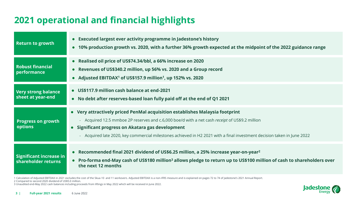### **2021 operational and financial highlights**

| <b>Return to growth</b>                               | • Executed largest ever activity programme in Jadestone's history<br>10% production growth vs. 2020, with a further 36% growth expected at the midpoint of the 2022 guidance range<br>$\bullet$                                                                                                                                                                           |
|-------------------------------------------------------|---------------------------------------------------------------------------------------------------------------------------------------------------------------------------------------------------------------------------------------------------------------------------------------------------------------------------------------------------------------------------|
| <b>Robust financial</b><br>performance                | • Realised oil price of US\$74.34/bbl, a 66% increase on 2020<br>• Revenues of US\$340.2 million, up 56% vs. 2020 and a Group record<br>• Adjusted EBITDAX <sup>1</sup> of US\$157.9 million <sup>1</sup> , up 152% vs. 2020                                                                                                                                              |
| <b>Very strong balance</b><br>sheet at year-end       | • US\$117.9 million cash balance at end-2021<br>• No debt after reserves-based loan fully paid off at the end of Q1 2021                                                                                                                                                                                                                                                  |
| <b>Progress on growth</b><br><b>options</b>           | • Very attractively priced PenMal acquisition establishes Malaysia footprint<br>- Acquired 12.5 mmboe 2P reserves and c.6,000 boe/d with a net cash receipt of US\$9.2 million<br>Significant progress on Akatara gas development<br>$\bullet$<br>- Acquired late 2020, key commercial milestones achieved in H2 2021 with a final investment decision taken in June 2022 |
| <b>Significant increase in</b><br>shareholder returns | Recommended final 2021 dividend of US\$6.25 million, a 25% increase year-on-year <sup>2</sup><br>$\bullet$<br>Pro-forma end-May cash of US\$180 million <sup>3</sup> allows pledge to return up to US\$100 million of cash to shareholders over<br>the next 12 months                                                                                                     |

1 Calculation of Adjusted EBITDAX in 2021 excludes the cost of the Skua-10 and 11 workovers. Adjusted EBITDAX is a non-IFRS measure and is explained on pages 72 to 74 of Jadestone's 2021 Annual Report.

2 Compared to second 2020 dividend of US\$5.0 million.

3 Unaudited end-May 2022 cash balances including proceeds from liftings in May 2022 which will be received in June 2022.

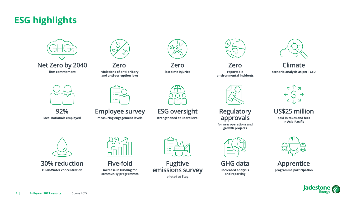### **ESG highlights**





92% local nationals employed



Zero violations of anti-bribery and anti-corruption laws

**Employee survey** measuring engagement levels



Zero lost time injuries



Zero reportable environmental incidents



**Regulatory** approvals for new operations and growth projects



**GHG data** increased analysis and reporting



**Climate** scenario analysis as per TCFD



US\$25 million paid in taxes and fees in Asia-Pacific



30% reduction **Oil-In-Water concentration** 



**Five-fold** increase in funding for community programmes



**ESG oversight** 

strengthened at Board level

**Fugitive** emissions survey piloted at Stag



Apprentice programme participation

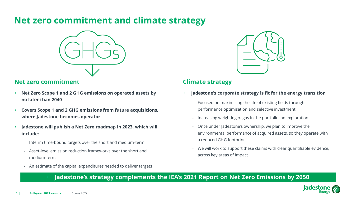### **Net zero commitment and climate strategy**



#### **Net zero commitment**

- **Net Zero Scope 1 and 2 GHG emissions on operated assets by no later than 2040**
- **Covers Scope 1 and 2 GHG emissions from future acquisitions, where Jadestone becomes operator**
- **Jadestone will publish a Net Zero roadmap in 2023, which will include:**
	- Interim time-bound targets over the short and medium-term
	- Asset-level emission reduction frameworks over the short and medium-term
	- An estimate of the capital expenditures needed to deliver targets



### **Climate strategy**

- **Jadestone's corporate strategy is fit for the energy transition**
	- Focused on maximising the life of existing fields through performance optimisation and selective investment
	- Increasing weighting of gas in the portfolio, no exploration
	- Once under Jadestone's ownership, we plan to improve the environmental performance of acquired assets, so they operate with a reduced GHG footprint
	- We will work to support these claims with clear quantifiable evidence, across key areas of impact

### • **Jadestone's strategy complements the IEA's 2021 Report on Net Zero Emissions by 2050**

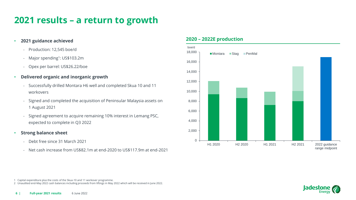### **2021 results – a return to growth**

- **2021 guidance achieved**
	- Production: 12,545 boe/d
	- Major spending<sup>1</sup>: US\$103.2m
	- Opex per barrel: US\$26.22/boe
- **Delivered organic and inorganic growth**
	- Successfully drilled Montara H6 well and completed Skua 10 and 11 workovers
	- Signed and completed the acquisition of Peninsular Malaysia assets on 1 August 2021
	- Signed agreement to acquire remaining 10% interest in Lemang PSC, expected to complete in Q3 2022

#### • **Strong balance sheet**

- Debt free since 31 March 2021
- Net cash increase from US\$82.1m at end-2020 to US\$117.9m at end-2021

#### **2020 – 2022E production**





1 Capital expenditure plus the costs of the Skua-10 and 11 workover programme.

2 Unaudited end-May 2022 cash balances including proceeds from liftings in May 2022 which will be received in June 2022.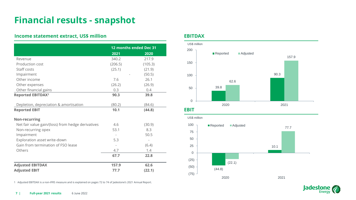## **Financial results - snapshot**

#### **Income statement extract, US\$ million <b>EBITDAX EBITDAX**

|                                                   | 12 months ended Dec 31 |         |  |  |
|---------------------------------------------------|------------------------|---------|--|--|
|                                                   | 2021                   | 2020    |  |  |
| Revenue                                           | 340.2                  | 217.9   |  |  |
| Production cost                                   | (206.5)                | (105.3) |  |  |
| Staff costs                                       | (25.1)                 | (21.9)  |  |  |
| Impairment                                        |                        | (50.5)  |  |  |
| Other income                                      | 7.6                    | 26.1    |  |  |
| Other expenses                                    | (26.2)                 | (26.9)  |  |  |
| Other financial gains                             | 0.3                    | 0.4     |  |  |
| <b>Reported EBITDAX1</b>                          | 90.3                   | 39.8    |  |  |
| Depletion, depreciation & amortisation            | (80.2)                 | (84.6)  |  |  |
| <b>Reported EBIT</b>                              | 10.1                   | (44.8)  |  |  |
| <b>Non-recurring</b>                              |                        |         |  |  |
| Net fair value gain/(loss) from hedge derivatives | 4.6                    | (30.9)  |  |  |
| Non-recurring opex                                | 53.1                   | 8.3     |  |  |
| Impairment                                        |                        | 50.5    |  |  |
| Exploration asset write-down                      | 5.3                    |         |  |  |
| Gain from termination of FSO lease                |                        | (6.4)   |  |  |
| Others                                            | 4.7                    | 1.4     |  |  |
|                                                   | 67.7                   | 22.8    |  |  |
| <b>Adjusted EBITDAX</b>                           | 157.9                  | 62.6    |  |  |
| <b>Adjusted EBIT</b>                              | 77.7                   | (22.1)  |  |  |

1 Adjusted EBITDAX is a non-IFRS measure and is explained on pages 72 to 74 of Jadestone's 2021 Annual Report.



Jadestone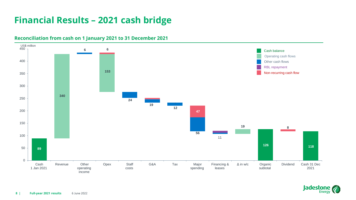## **Financial Results – 2021 cash bridge**



#### **Reconciliation from cash on 1 January 2021 to 31 December 2021**

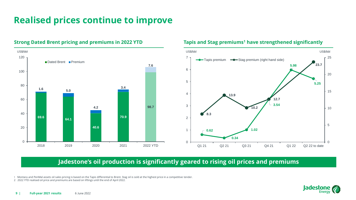## **Realised prices continue to improve**



#### **Strong Dated Brent pricing and premiums in 2022 YTD Tapis and Stag premiums<sup>1</sup> have strengthened significantly**



### **Jadestone's oil production is significantly geared to rising oil prices and premiums**

1 Montara and PenMal assets oil sales pricing is based on the Tapis differential to Brent. Stag oil is sold at the highest price in a competitive tender.

2 2022 YTD realised oil price and premiums are based on liftings until the end of April 2022.

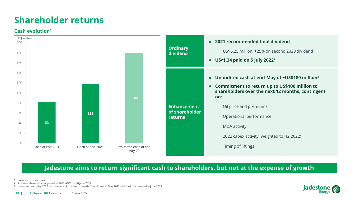## **Shareholder returns**

#### **Cash evolution<sup>1</sup>**



#### **Jadestone aims to return significant cash to shareholders, but not at the expense of growth**

1 Excludes restricted cash.

2 Assumes shareholder approval at 2022 AGM on 30 June 2022.

3 Unaudited end-May 2022 cash balances including proceeds from liftings in May 2022 which will be received in June 2022.

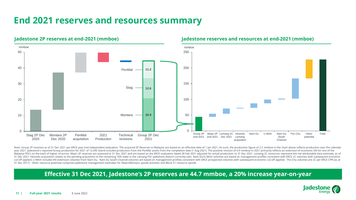### **End 2021 reserves and resources summary**



#### **Jadestone 2P reserves at end-2021 (mmboe) Jadestone reserves and resources at end-2021 (mmboe)**

Note: Group 2P reserves as of 31 Dec 2021 per ERCE year end independent evaluation. The acquired 2P Reserves in Malaysia are based on an effective date of 1 Jan 2021. As such, the production figure of 2.2 mmboe in the char year 2021. Jadestone's reported Group production for 2021 of 12,545 boe/d includes production from the PenMal assets from the completion date (1 Aug 2021). The positive revision of 0.9 mmboe in 2021 primarily reflects an e Malaysia PSCs on the back of higher oil prices. Maari 2P reserves are assessed at 31 Dec 2021 and are based on the ERCE evaluation dated 28 Feb 2021 adjusted for actual production to 31 Dec 2021. Lemang 2C resources repres 31 Dec 2021. Hexindo acquisition relates to the pending acquisition of the remaining 10% stake in the Lemang PSC Jadestone doesn't currently own. Nam Du/U Minh volumes are based on management profiles consistent with ERCE cut-off applied. U Minh includes life extension volumes from Nam Du. Nam Du South Channel volumes are based on management profiles consistent with ERCE prospective volumes with subsequent economic cut-off applied. Tho Chu 31 Dec 2017). Other resource potential comprises Jadestone management estimates for Maari/Montara upside activities and Block 51 resource upside.

#### **Effective 31 Dec 2021, Jadestone's 2P reserves are 44.7 mmboe, a 20% increase year-on-year**

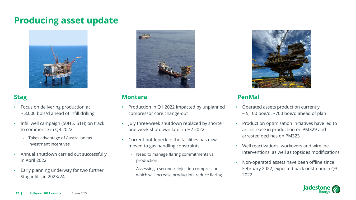### **Producing asset update**



### **Stag**

- Focus on delivering production at ~ 3,000 bbls/d ahead of infill drilling
- Infill well campaign (50H & 51H) on track to commence in Q3 2022
	- Takes advantage of Australian tax investment incentives
- Annual shutdown carried out successfully in April 2022
- Early planning underway for two further Stag infills in 2023/24



### **Montara PenMal**

- Production in Q1 2022 impacted by unplanned compressor core change-out
- July three-week shutdown replaced by shorter one-week shutdown later in H2 2022
- Current bottleneck in the facilities has now moved to gas handling constraints
	- Need to manage flaring commitments vs. production
	- Assessing a second reinjection compressor which will increase production, reduce flaring



- Operated assets production currently  $\sim$  5,100 boe/d,  $\sim$ 700 boe/d ahead of plan
- Production optimisation initiatives have led to an increase in production on PM329 and arrested declines on PM323
- Well reactivations, workovers and wireline interventions, as well as topsides modifications
- Non-operated assets have been offline since February 2022, expected back onstream in Q3 2022

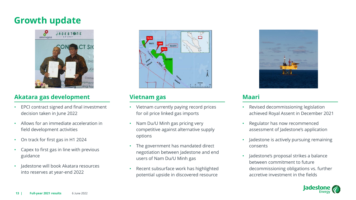### **Growth update**



### **Akatara gas development Vietnam gas**

- EPCI contract signed and final investment decision taken in June 2022
- Allows for an immediate acceleration in field development activities
- On track for first gas in H1 2024
- Capex to first gas in line with previous guidance
- Jadestone will book Akatara resources into reserves at year-end 2022



- Vietnam currently paying record prices for oil price linked gas imports
- Nam Du/U Minh gas pricing very competitive against alternative supply options
- The government has mandated direct negotiation between Jadestone and end users of Nam Du/U Minh gas
- Recent subsurface work has highlighted potential upside in discovered resource



### **Maari**

- Revised decommissioning legislation achieved Royal Assent in December 2021
- Regulator has now recommenced assessment of Jadestone's application
- Jadestone is actively pursuing remaining consents
- Jadestone's proposal strikes a balance between commitment to future decommissioning obligations vs. further accretive investment in the fields

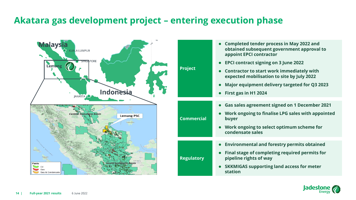### **Akatara gas development project – entering execution phase**



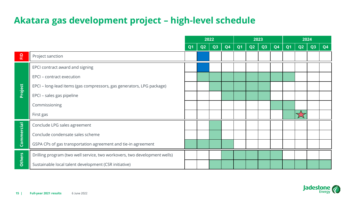### **Akatara gas development project – high-level schedule**

|                   |                                                                           |                | 2022           |                |                | 2023           |    |                |                | 2024           |    |                |                |
|-------------------|---------------------------------------------------------------------------|----------------|----------------|----------------|----------------|----------------|----|----------------|----------------|----------------|----|----------------|----------------|
|                   |                                                                           | Q <sub>1</sub> | Q <sub>2</sub> | Q <sub>3</sub> | Q <sub>4</sub> | Q <sub>1</sub> | Q2 | Q <sub>3</sub> | Q <sub>4</sub> | Q <sub>1</sub> | Q2 | Q <sub>3</sub> | Q <sub>4</sub> |
| $\frac{1}{2}$     | Project sanction                                                          |                |                |                |                |                |    |                |                |                |    |                |                |
|                   | EPCI contract award and signing                                           |                |                |                |                |                |    |                |                |                |    |                |                |
|                   | EPCI - contract execution                                                 |                |                |                |                |                |    |                |                |                |    |                |                |
| Project           | EPCI - long-lead items (gas compressors, gas generators, LPG package)     |                |                |                |                |                |    |                |                |                |    |                |                |
|                   | EPCI - sales gas pipeline                                                 |                |                |                |                |                |    |                |                |                |    |                |                |
|                   | Commissioning                                                             |                |                |                |                |                |    |                |                |                |    |                |                |
|                   | First gas                                                                 |                |                |                |                |                |    |                |                |                |    |                |                |
|                   | Conclude LPG sales agreement                                              |                |                |                |                |                |    |                |                |                |    |                |                |
| <b>Commercial</b> | Conclude condensate sales scheme                                          |                |                |                |                |                |    |                |                |                |    |                |                |
|                   | GSPA CPs of gas transportation agreement and tie-in agreement             |                |                |                |                |                |    |                |                |                |    |                |                |
| Others            | Drilling program (two well service, two workovers, two development wells) |                |                |                |                |                |    |                |                |                |    |                |                |
|                   | Sustainable local talent development (CSR initiative)                     |                |                |                |                |                |    |                |                |                |    |                |                |
|                   |                                                                           |                |                |                |                |                |    |                |                |                |    |                |                |
| 15                | <b>Full-year 2021 results</b><br>6 June 2022                              |                |                |                |                |                |    |                |                |                |    | lades          | <b>Energy</b>  |

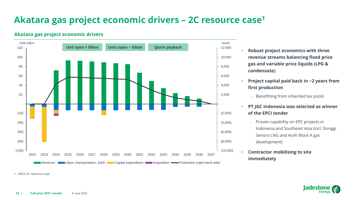## **Akatara gas project economic drivers – 2C resource case<sup>1</sup>**

#### **Akatara gas project economic drivers**



- **Robust project economics with three revenue streams balancing fixed price gas and variable price liquids (LPG & condensate)**
- **Project capital paid back in ~2 years from first production**
	- Benefitting from inherited tax pools
- **PT JGC Indonesia was selected as winner of the EPCI tender**
	- Proven capability on EPC projects in Indonesia and Southeast Asia (incl. Donggi Senoro LNG and Aceh Block A gas development)
- **Contractor mobilising to site immediately**

1 ERCE 2C resource case

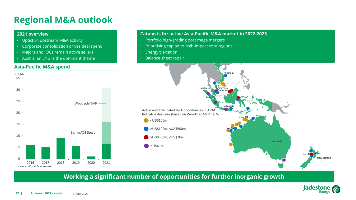## **Regional M&A outlook**

#### **2021 overview**

- Uptick in upstream M&A activity
- Corporate consolidation drives deal spend
- Majors and IOCs remain active sellers
- Australian LNG is the dominant theme

#### **Asia-Pacific M&A spend**

![](_page_16_Figure_7.jpeg)

- Portfolio high-grading post mega mergers
- Prioritising capital to high-impact core regions
- Energy transition
- Balance sheet repair

![](_page_16_Figure_12.jpeg)

**Working a significant number of opportunities for further inorganic growth**

![](_page_16_Picture_14.jpeg)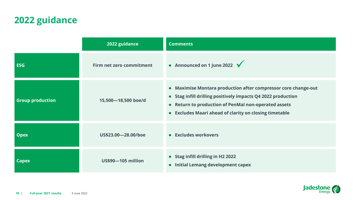## **2022 guidance**

|                         | 2022 guidance             | <b>Comments</b>                                                                                                                                                                                                                                  |
|-------------------------|---------------------------|--------------------------------------------------------------------------------------------------------------------------------------------------------------------------------------------------------------------------------------------------|
| <b>ESG</b>              | Firm net zero commitment  | • Announced on 1 June 2022 $\sqrt$                                                                                                                                                                                                               |
| <b>Group production</b> | 15,500-18,500 boe/d       | • Maximise Montara production after compressor core change-out<br>• Stag infill drilling positively impacts Q4 2022 production<br>• Return to production of PenMal non-operated assets<br>• Excludes Maari ahead of clarity on closing timetable |
| <b>Opex</b>             | US\$23.00-28.00/boe       | • Excludes workovers                                                                                                                                                                                                                             |
| <b>Capex</b>            | <b>US\$90-105 million</b> | • Stag infill drilling in H2 2022<br>• Initial Lemang development capex                                                                                                                                                                          |

![](_page_17_Picture_2.jpeg)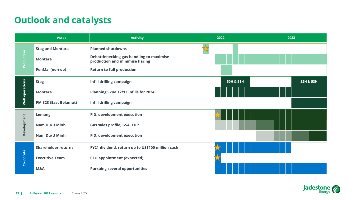## **Outlook and catalysts**

| <b>Asset</b>    |                            | <b>Activity</b>                                                             | 2022      | 2023 |           |  |  |  |  |
|-----------------|----------------------------|-----------------------------------------------------------------------------|-----------|------|-----------|--|--|--|--|
| Production      | <b>Stag and Montara</b>    | <b>Planned shutdowns</b>                                                    |           |      |           |  |  |  |  |
|                 | <b>Montara</b>             | Debottlenecking gas handling to maximise<br>production and minimise flaring |           |      |           |  |  |  |  |
|                 | PenMal (non-op)            | <b>Return to full production</b>                                            |           |      |           |  |  |  |  |
|                 | <b>Stag</b>                | Infill drilling campaign                                                    | 50H & 51H |      | 52H & 53H |  |  |  |  |
| Well operations | <b>Montara</b>             | Planning Skua 12/13 infills for 2024                                        |           |      |           |  |  |  |  |
|                 | PM 323 (East Belamut)      | Infill drilling campaign                                                    |           |      |           |  |  |  |  |
| Development     | <b>Lemang</b>              | FID, development execution                                                  |           |      |           |  |  |  |  |
|                 | Nam Du/U Minh              | Gas sales profile, GSA, FDP                                                 |           |      |           |  |  |  |  |
|                 | <b>Nam Du/U Minh</b>       | FID, development execution                                                  |           |      |           |  |  |  |  |
| Corporate       | <b>Shareholder returns</b> | FY21 dividend, return up to US\$100 million cash                            |           |      |           |  |  |  |  |
|                 | <b>Executive Team</b>      | <b>CFO appointment (expected)</b>                                           |           |      |           |  |  |  |  |
|                 | M&A                        | <b>Pursuing several opportunities</b>                                       |           |      |           |  |  |  |  |

![](_page_18_Picture_2.jpeg)